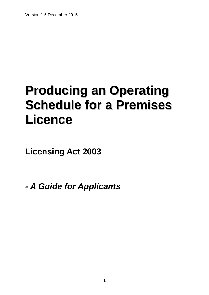Version 1.5 December 2015

# **Producing an Operating Schedule for a Premises Licence**

**Licensing Act 2003** 

*- A Guide for Applicants*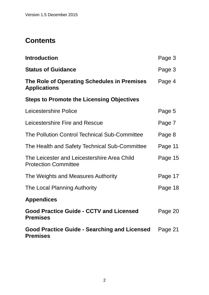# **Contents**

| <b>Introduction</b>                                                        | Page 3  |
|----------------------------------------------------------------------------|---------|
| <b>Status of Guidance</b>                                                  | Page 3  |
| The Role of Operating Schedules in Premises<br><b>Applications</b>         | Page 4  |
| <b>Steps to Promote the Licensing Objectives</b>                           |         |
| Leicestershire Police                                                      | Page 5  |
| Leicestershire Fire and Rescue                                             | Page 7  |
| The Pollution Control Technical Sub-Committee                              | Page 8  |
| The Health and Safety Technical Sub-Committee                              | Page 11 |
| The Leicester and Leicestershire Area Child<br><b>Protection Committee</b> | Page 15 |
| The Weights and Measures Authority                                         | Page 17 |
| The Local Planning Authority                                               | Page 18 |
| <b>Appendices</b>                                                          |         |
| <b>Good Practice Guide - CCTV and Licensed</b><br><b>Premises</b>          | Page 20 |
| <b>Good Practice Guide - Searching and Licensed</b><br><b>Premises</b>     | Page 21 |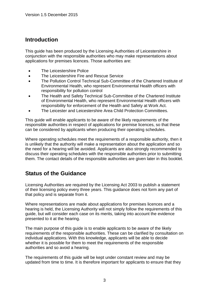### **Introduction**

This guide has been produced by the Licensing Authorities of Leicestershire in conjunction with the responsible authorities who may make representations about applications for premises licences. Those authorities are:

- The Leicestershire Police
- The Leicestershire Fire and Rescue Service
- The Pollution Control Technical Sub-Committee of the Chartered Institute of Environmental Health, who represent Environmental Health officers with responsibility for pollution control
- The Health and Safety Technical Sub-Committee of the Chartered Institute of Environmental Health, who represent Environmental Health officers with responsibility for enforcement of the Health and Safety at Work Act.
- The Leicester and Leicestershire Area Child Protection Committees.

This guide will enable applicants to be aware of the likely requirements of the responsible authorities in respect of applications for premise licences, so that these can be considered by applicants when producing their operating schedules.

Where operating schedules meet the requirements of a responsible authority, then it is unlikely that the authority will make a representation about the application and so the need for a hearing will be avoided. Applicants are also strongly recommended to discuss their operating schedules with the responsible authorities prior to submitting them. The contact details of the responsible authorities are given later in this booklet.

### **Status of the Guidance**

Licensing Authorities are required by the Licensing Act 2003 to publish a statement of their licensing policy every three years. This guidance does not form any part of that policy and is separate from it.

Where representations are made about applications for premises licences and a hearing is held, the Licensing Authority will not simply follow the requirements of this guide, but will consider each case on its merits, taking into account the evidence presented to it at the hearing.

The main purpose of this guide is to enable applicants to be aware of the likely requirements of the responsible authorities. These can be clarified by consultation on individual applications. With this knowledge, applicants will be able to decide whether it is possible for them to meet the requirements of the responsible authorities and so avoid a hearing.

The requirements of this guide will be kept under constant review and may be updated from time to time. It is therefore important for applicants to ensure that they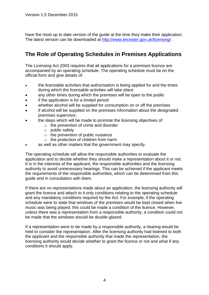have the most up to date version of the guide at the time they make their application. The latest version can be downloaded at<http://www.leicester.gov.uk/licensing/> .

### **The Role of Operating Schedules in Premises Applications**

The Licensing Act 2003 requires that all applications for a premises licence are accompanied by an operating schedule. The operating schedule must be on the official form and give details of:

- the licensable activities that authorisation is being applied for and the times during which the licensable activities will take place
- any other times during which the premises will be open to the public
- if the application is for a limited period
- whether alcohol will be supplied for consumption on or off the premises
- if alcohol will be supplied on the premises information about the designated premises supervisor,
- the steps which will be made to promote the licensing objectives of:
	- $\circ$  the prevention of crime and disorder
	- o public safety
	- $\circ$  the prevention of public nuisance
	- o the protection of children from harm
- as well as other matters that the government may specify.

The operating schedule will allow the responsible authorities to evaluate the application and to decide whether they should make a representation about it or not. It is in the interests of the applicant, the responsible authorities and the licensing authority to avoid unnecessary hearings. This can be achieved if the applicant meets the requirements of the responsible authorities, which can be determined from this guide and in consultation with them.

If there are no representations made about an application, the licensing authority will grant the licence and attach to it only conditions relating to the operating schedule and any mandatory conditions required by the Act. For example, if the operating schedule were to state that windows of the premises would be kept closed when live music was being played, this could be made a condition of the licence. However, unless there was a representation from a responsible authority, a condition could not be made that the windows should be double-glazed.

If a representation were to be made by a responsible authority, a hearing would be held to consider the representation. After the licensing authority had listened to both the applicant and the responsible authority that made the representation, the licensing authority would decide whether to grant the licence or not and what if any conditions it should apply.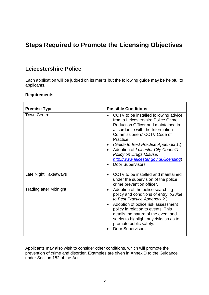## **Steps Required to Promote the Licensing Objectives**

### **Leicestershire Police**

Each application will be judged on its merits but the following guide may be helpful to applicants.

#### **Requirements**

| <b>Premise Type</b>           | <b>Possible Conditions</b>                                                                                                                                                                                                                                                                                                                                                                                        |
|-------------------------------|-------------------------------------------------------------------------------------------------------------------------------------------------------------------------------------------------------------------------------------------------------------------------------------------------------------------------------------------------------------------------------------------------------------------|
| <b>Town Centre</b>            | CCTV to be installed following advice<br>$\bullet$<br>from a Leicestershire Police Crime<br>Reduction Officer and maintained in<br>accordance with the Information<br>Commissioners' CCTV Code of<br>Practice<br>(Guide to Best Practice Appendix 1.)<br>$\bullet$<br>Adoption of Leicester City Council's<br>$\bullet$<br>Policy on Drugs Misuse.<br>http://www.leicester.gov.uk/licensing)<br>Door Supervisors. |
| Late Night Takeaways          | CCTV to be installed and maintained<br>$\bullet$<br>under the supervision of the police<br>crime prevention officer.                                                                                                                                                                                                                                                                                              |
| <b>Trading after Midnight</b> | Adoption of the police searching<br>$\bullet$<br>policy and conditions of entry. (Guide<br>to Best Practice Appendix 2.)<br>Adoption of police risk assessment<br>$\bullet$<br>policy in relation to events. This<br>details the nature of the event and<br>seeks to highlight any risks so as to<br>promote public safety.<br>Door Supervisors.                                                                  |

Applicants may also wish to consider other conditions, which will promote the prevention of crime and disorder. Examples are given in Annex D to the Guidance under Section 182 of the Act.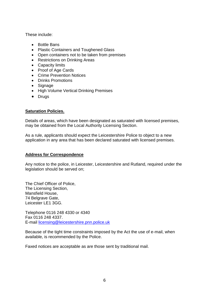These include:

- Bottle Bans
- Plastic Containers and Toughened Glass
- Open containers not to be taken from premises
- Restrictions on Drinking Areas
- Capacity limits
- Proof of Age Cards
- **•** Crime Prevention Notices
- Drinks Promotions
- Signage
- High Volume Vertical Drinking Premises
- Drugs

#### **Saturation Policies.**

Details of areas, which have been designated as saturated with licensed premises, may be obtained from the Local Authority Licensing Section.

As a rule, applicants should expect the Leicestershire Police to object to a new application in any area that has been declared saturated with licensed premises.

#### **Address for Correspondence**

Any notice to the police, in Leicester, Leicestershire and Rutland, required under the legislation should be served on;

The Chief Officer of Police, The Licensing Section, Mansfield House, 74 Belgrave Gate, Leicester LE1 3GG.

Telephone 0116 248 4330 or 4340 Fax 0116 248 4337. E-mail [licensing@leicestershire.pnn.police.uk](mailto:licensing@leicestershire.pnn.police.uk)

Because of the tight time constraints imposed by the Act the use of e-mail, when available, is recommended by the Police.

Faxed notices are acceptable as are those sent by traditional mail.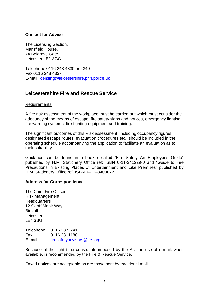#### **Contact for Advice**

The Licensing Section, Mansfield House, 74 Belgrave Gate, Leicester LE1 3GG.

Telephone 0116 248 4330 or 4340 Fax 0116 248 4337. E-mail [licensing@leicestershire.pnn.police.uk](mailto:licensing@leicestershire.pnn.police.uk)

### **Leicestershire Fire and Rescue Service**

#### Requirements

A fire risk assessment of the workplace must be carried out which must consider the adequacy of the means of escape, fire safety signs and notices, emergency lighting, fire warning systems, fire-fighting equipment and training.

The significant outcomes of this Risk assessment, including occupancy figures, designated escape routes, evacuation procedures etc., should be included in the operating schedule accompanying the application to facilitate an evaluation as to their suitability.

Guidance can be found in a booklet called "Fire Safety An Employer's Guide" published by H.M. Stationery Office ref: ISBN 0-11-341229-0 and "Guide to Fire Precautions in Existing Places of Entertainment and Like Premises" published by H.M. Stationery Office ref: ISBN 0–11–340907-9.

#### **Address for Correspondence**

The Chief Fire Officer Risk Management **Headquarters** 12 Geoff Monk Way **Birstall** Leicester LE4 3BU

Telephone: 0116 2872241 Fax: 0116 2311180 E-mail: [firesafetyadvisors@lfrs.org](mailto:firesafetyadvisors@lfrs.org)

Because of the tight time constraints imposed by the Act the use of e-mail, when available, is recommended by the Fire & Rescue Service.

Faxed notices are acceptable as are those sent by traditional mail.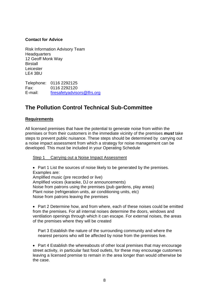#### **Contact for Advice**

Risk Information Advisory Team **Headquarters** 12 Geoff Monk Way **Birstall Leicester** LE4 3BU

Telephone: 0116 2292125 Fax: 0116 2292120 E-mail: [firesafetyadvisors@lfrs.org](mailto:firesafetyadvisors@lfrs.org)

### **The Pollution Control Technical Sub-Committee**

#### **Requirements**

All licensed premises that have the potential to generate noise from within the premises or from their customers in the immediate vicinity of the premises *must* take steps to prevent public nuisance. These steps should be determined by carrying out a noise impact assessment from which a strategy for noise management can be developed. This must be included in your Operating Schedule

Step 1 Carrying out a Noise Impact Assessment

• Part 1 List the sources of noise likely to be generated by the premises. Examples are: Amplified music (pre recorded or live) Amplified voices (karaoke, DJ or announcements) Noise from patrons using the premises (pub gardens, play areas) Plant noise (refrigeration units, air conditioning units, etc) Noise from patrons leaving the premises

• Part 2 Determine how, and from where, each of these noises could be emitted from the premises. For all internal noises determine the doors, windows and ventilation openings through which it can escape. For external noises, the areas of the premises where they will be created

Part 3 Establish the nature of the surrounding community and where the nearest persons who will be affected by noise from the premises live.

• Part 4 Establish the whereabouts of other local premises that may encourage street activity, in particular fast food outlets, for these may encourage customers leaving a licensed premise to remain in the area longer than would otherwise be the case.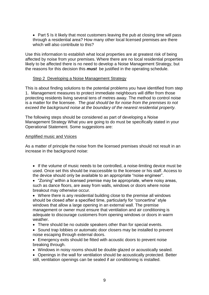• Part 5 Is it likely that most customers leaving the pub at closing time will pass through a residential area? How many other local licensed premises are there which will also contribute to this?

Use this information to establish what local properties are at greatest risk of being affected by noise from your premises. Where there are no local residential properties likely to be affected there is no need to develop a Noise Management Strategy, but the reasons for this decision this *must* be justified in the operating schedule.

#### Step 2 Developing a Noise Management Strategy

This is about finding solutions to the potential problems you have identified from step 1. Management measures to protect immediate neighbours will differ from those protecting residents living several tens of metres away. The method to control noise is a matter for the licensee. *The goal should be for noise from the premises to not exceed the background noise at the boundary of the nearest residential property.*

The following steps should be considered as part of developing a Noise Management Strategy What you are going to do must be specifically stated in your Operational Statement. Some suggestions are:

#### Amplified music and Voices

As a matter of principle the noise from the licensed premises should not result in an increase in the background noise:

- If the volume of music needs to be controlled, a noise-limiting device must be used. Once set this should be inaccessible to the licensee or his staff. Access to the device should only be available to an appropriate "noise engineer".
- "Zoning" within a licensed premise may be appropriate, where noisy areas, such as dance floors, are away from walls, windows or doors where noise breakout may otherwise occur.
- Where there is any residential building close to the premise all windows should be closed after a specified time, particularly for "concertina" style windows that allow a large opening in an external wall. The premise management or owner must ensure that ventilation and air conditioning is adequate to discourage customers from opening windows or doors in warm weather
- There should be no outside speakers other than for special events.
- Sound trap lobbies or automatic door closers may be installed to prevent noise escaping through external doors.
- Emergency exits should be fitted with acoustic doors to prevent noise breaking through.
- Windows in noisy rooms should be double glazed or acoustically sealed.
- Openings in the wall for ventilation should be acoustically protected. Better still, ventilation openings can be sealed if air conditioning is installed.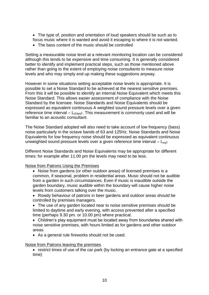- The type of, position and orientation of loud speakers should be such as to focus music where it is wanted and avoid it escaping to where it is not wanted.
- The bass content of the music should be controlled

Setting a measurable noise level at a relevant monitoring location can be considered although this tends to be expensive and time consuming. It is generally considered better to identify and implement practical steps, such as those mentioned above rather than going to the extent of employing noise consultants to measure noise levels and who may simply end up making these suggestions anyway.

However in some situations setting acceptable noise levels is appropriate. It is possible to set a Noise Standard to be achieved at the nearest sensitive premises. From this it will be possible to identify an internal Noise Equivalent which meets this Noise Standard. This allows easier assessment of compliance with the Noise Standard by the licensee. Noise Standards and Noise Equivalents should be expressed as equivalent continuous A weighted sound pressure levels over a given reference time interval –  $L_{(A)eqT}$ . This measurement is commonly used and will be familiar to an acoustic consultant.

The Noise Standard adopted will also need to take account of low frequency (bass) noise particularly in the octave bands of 63 and 125Hz. Noise Standards and Noise Equivalents for low frequency noise should be expressed as equivalent continuous unweighted sound pressure levels over a given reference time interval  $- L_{eqT}$ 

Different Noise Standards and Noise Equivalents may be appropriate for different times; for example after 11.00 pm the levels may need to be less.

Noise from Patrons Using the Premises

- Noise from gardens (or other outdoor areas) of licensed premises is a common, if seasonal, problem in residential areas. Music should not be audible from a garden in such circumstances. Even if music is inaudible outside the garden boundary, music audible within the boundary will cause higher noise levels from customers talking over the music.
- Rowdy behaviour of patrons in beer gardens and outdoor areas should be controlled by premises managers.
- The use of any garden located near to noise sensitive premises should be limited to daytime and early evening, with access prevented after a specified time (perhaps 9.30 pm. or 10.00 pm) where practical.
- Children's play equipment must be located away from boundaries shared with noise sensitive premises, with hours limited as for gardens and other outdoor areas.
- As a general rule fireworks should not be used.

#### Noise from Patrons leaving the premises

• restrict times of use of the car park (by locking an entrance gate at a specified time)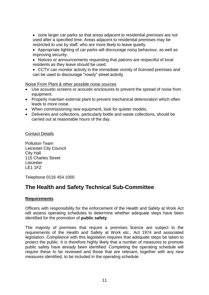zone larger car parks so that areas adjacent to residential premises are not used after a specified time. Areas adjacent to residential premises may be restricted to use by staff, who are more likely to leave quietly.

 Appropriate lighting of car parks will discourage noisy behaviour, as well as improving security.

 Notices or announcements requesting that patrons are respectful of local residents as they leave should be used.

 CCTV can monitor activity in the immediate vicinity of licensed premises and can be used to discourage "rowdy" street activity

#### Noise From Plant & other possible noise sources

- Use acoustic screens or acoustic enclosures to prevent the spread of noise from equipment.
- Properly maintain external plant to prevent mechanical deterioration which often leads to more noise.
- When commissioning new equipment, look for quieter models.
- Deliveries and collections, particularly bottle and waste collections, should be carried out at reasonable hours of the day.

Contact Details

Pollution Team Leicester City Council City Hall 115 Charles Street Leicester LE1 1FZ

Telephone 0116 454 1000

### **The Health and Safety Technical Sub-Committee**

#### **Requirements**

Officers with responsibility for the enforcement of the Health and Safety at Work Act will assess operating schedules to determine whether adequate steps have been identified for the promotion of **public safety**.

The majority of premises that require a premises licence are subject to the requirements of the Health and Safety at Work etc., Act 1974 and associated legislation. Compliance with this legislation requires that adequate steps be taken to protect the public. It is therefore highly likely that a number of measures to promote public safety have already been identified. Completing the operating schedule will require these to be reviewed and those that are relevant, together with any new measures identified, to be included in the operating schedule.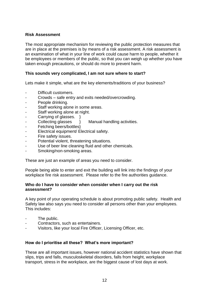#### **Risk Assessment**

The most appropriate mechanism for reviewing the public protection measures that are in place at the premises is by means of a risk assessment. A risk assessment is an examination of what in your line of work could cause harm to people, whether it be employees or members of the public, so that you can weigh up whether you have taken enough precautions, or should do more to prevent harm.

#### **This sounds very complicated, I am not sure where to start?**

Lets make it simple, what are the key elements/traditions of your business?

- Difficult customers.
- Crowds safe entry and exits needed/overcrowding.
- People drinking.
- Staff working alone in some areas.
- Staff working alone at night.
- 
- Carrying of glasses. }<br>- Collecting glasses } - Collecting glasses } Manual handling activities.
- Fetching beers/bottles}
- Electrical equipment/ Electrical safety.
- Fire safety issues.
- Potential violent, threatening situations.
- Use of beer line cleaning fluid and other chemicals.
- Smoking/non-smoking areas.

These are just an example of areas you need to consider.

People being able to enter and exit the building will link into the findings of your workplace fire risk assessment. Please refer to the fire authorities guidance.

#### **Who do I have to consider when consider when I carry out the risk assessment?**

A key point of your operating schedule is about promoting public safety. Health and Safety law also says you need to consider all persons other than your employees. This includes:

- The public.
- Contractors, such as entertainers.
- Visitors, like your local Fire Officer, Licensing Officer, etc.

#### **How do I prioritise all these? What's more important?**

These are all important issues, however national accident statistics have shown that slips, trips and falls, musculoskeletal disorders, falls from height, workplace transport, stress in the workplace, are the biggest cause of lost days at work.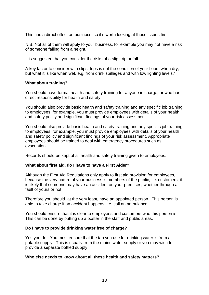This has a direct effect on business, so it's worth looking at these issues first.

N.B. Not all of them will apply to your business, for example you may not have a risk of someone falling from a height.

It is suggested that you consider the risks of a slip, trip or fall.

A key factor to consider with slips, trips is not the condition of your floors when dry, but what it is like when wet, e.g. from drink spillages and with low lighting levels?

#### **What about training?**

You should have formal health and safety training for anyone in charge, or who has direct responsibility for health and safety.

You should also provide basic health and safety training and any specific job training to employees; for example, you must provide employees with details of your health and safety policy and significant findings of your risk assessment.

You should also provide basic health and safety training and any specific job training to employees; for example, you must provide employees with details of your health and safety policy and significant findings of your risk assessment. Appropriate employees should be trained to deal with emergency procedures such as evacuation.

Records should be kept of all health and safety training given to employees.

#### **What about first aid, do I have to have a First Aider?**

Although the First Aid Regulations only apply to first aid provision for employees, because the very nature of your business is members of the public, i.e. customers, it is likely that someone may have an accident on your premises, whether through a fault of yours or not.

Therefore you should, at the very least, have an appointed person. This person is able to take charge if an accident happens, i.e. call an ambulance.

You should ensure that it is clear to employees and customers who this person is. This can be done by putting up a poster in the staff and public areas.

#### **Do I have to provide drinking water free of charge?**

Yes you do. You must ensure that the tap you use for drinking water is from a potable supply. This is usually from the mains water supply or you may wish to provide a separate bottled supply.

#### **Who else needs to know about all these health and safety matters?**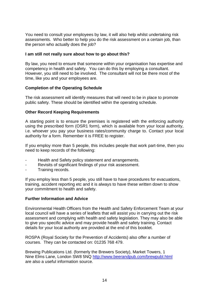You need to consult your employees by law, it will also help whilst undertaking risk assessments. Who better to help you do the risk assessment on a certain job, than the person who actually does the job?

#### **I am still not really sure about how to go about this?**

By law, you need to ensure that someone within your organisation has expertise and competency in health and safety. You can do this by employing a consultant. However, you still need to be involved. The consultant will not be there most of the time, like you and your employees are.

#### **Completion of the Operating Schedule**

The risk assessment will identify measures that will need to be in place to promote public safety. These should be identified within the operating schedule.

#### **Other Record Keeping Requirements**

A starting point is to ensure the premises is registered with the enforcing authority using the prescribed form (OSR1 form), which is available from your local authority, i.e. whoever you pay your business rates/community charge to. Contact your local authority for a form. Remember it is FREE to register.

If you employ more than 5 people, this includes people that work part-time, then you need to keep records of the following:

- Health and Safety policy statement and arrangements.
- Revisits of significant findings of your risk assessment.
- Training records.

If you employ less than 5 people, you still have to have procedures for evacuations, training, accident reporting etc and it is always to have these written down to show your commitment to health and safety.

#### **Further Information and Advice**

Environmental Health Officers from the Health and Safety Enforcement Team at your local council will have a series of leaflets that will assist you in carrying out the risk assessment and complying with health and safety legislation. They may also be able to give you specific advice and may provide health and safety training. Contact details for your local authority are provided at the end of this booklet.

ROSPA (Royal Society for the Prevention of Accidents) also offer a number of courses. They can be contacted on: 01235 768 479.

Brewing Publications Ltd. (formerly the Brewers Society), Market Towers, 1 Nine Elms Lane, London SW8 5NQ<http://www.beerandpub.com/brewpubl.html> are also a useful information source.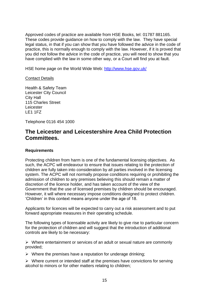Approved codes of practice are available from HSE Books, tel: 01787 881165. These codes provide guidance on how to comply with the law. They have special legal status, in that if you can show that you have followed the advice in the code of practice, this is normally enough to comply with the law. However, if it is proved that you did not follow the advice in the code of practice, you will need to show that you have complied with the law in some other way, or a Court will find you at fault.

HSE home page on the World Wide Web:<http://www.hse.gov.uk/>

#### Contact Details

Health & Safety Team Leicester City Council City Hall 115 Charles Street Leicester LE1 1FZ

Telephone 0116 454 1000

### **The Leicester and Leicestershire Area Child Protection Committees.**

#### **Requirements**

Protecting children from harm is one of the fundamental licensing objectives. As such, the ACPC will endeavour to ensure that issues relating to the protection of children are fully taken into consideration by all parties involved in the licensing system. The ACPC will not normally propose conditions requiring or prohibiting the admission of children to any premises believing this should remain a matter of discretion of the licence holder, and has taken account of the view of the Government that the use of licensed premises by children should be encouraged. However, it will where necessary impose conditions designed to protect children. 'Children' in this context means anyone under the age of 18.

Applicants for licences will be expected to carry out a risk assessment and to put forward appropriate measures in their operating schedule.

The following types of licensable activity are likely to give rise to particular concern for the protection of children and will suggest that the introduction of additional controls are likely to be necessary:

 $\triangleright$  Where entertainment or services of an adult or sexual nature are commonly provided;

 $\triangleright$  Where the premises have a reputation for underage drinking;

 $\triangleright$  Where current or intended staff at the premises have convictions for serving alcohol to minors or for other matters relating to children;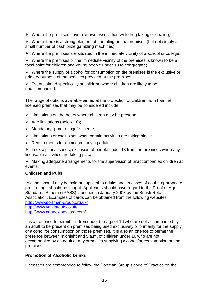$\triangleright$  Where the premises have a known association with drug taking or dealing;

 $\triangleright$  Where there is a strong element of gambling on the premises (but not simply a small number of cash prize gambling machines);

 $\triangleright$  Where the premises are situated in the immediate vicinity of a school or college;

 $\triangleright$  Where the premises or the immediate vicinity of the premises is known to be a focal point for children and young people under 18 to congregate;

 $\triangleright$  Where the supply of alcohol for consumption on the premises is the exclusive or primary purpose of the services provided at the premises.

 $\triangleright$  Events aimed specifically at children, where children are likely to be unaccompanied.

The range of options available aimed at the protection of children from harm at licensed premises that may be considered include:

- $\triangleright$  Limitations on the hours where children may be present:
- $\triangleright$  Age limitations (below 18);
- $\triangleright$  Mandatory "proof of age" scheme:
- $\triangleright$  Limitations or exclusions when certain activities are taking place;
- $\triangleright$  Requirements for an accompanying adult;

 $\triangleright$  In exceptional cases, exclusion of people under 18 from the premises when any licensable activities are taking place.

 $\triangleright$  Making adequate arrangements for the supervision of unaccompanied children at events.

#### **Children and Pubs**

Alcohol should only be sold or supplied to adults and, in cases of doubt, appropriate proof of age should be sought. Applicants should have regard to the Proof of Age Standards Scheme (PASS) launched in January 2003 by the British Retail Association. Examples of cards can be obtained from the following websites: <http://www.portman-group.org.uk/>

<http://www.validateuk.co.uk/> <http://www.connexionscard.com/>

It is an offence to permit children under the age of 16 who are not accompanied by an adult to be present on premises being used exclusively or primarily for the supply of alcohol for consumption on those premises. It is also an offence to permit the presence between midnight and 5 a.m. of children under 16 who are not accompanied by an adult at any premises supplying alcohol for consumption on the premises.

#### **Promotion of Alcoholic Drinks**

Licensees are commended to follow the Portman Group's code of Practice on the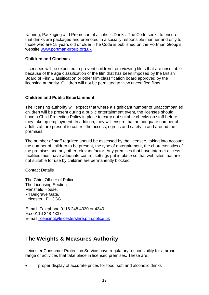Naming, Packaging and Promotion of alcoholic Drinks. The Code seeks to ensure that drinks are packaged and promoted in a socially responsible manner and only to those who are 18 years old or older. The Code is published on the Portman Group's website [www.portman-group.org.uk.](http://www.portman-group.org.uk/)

#### **Children and Cinemas**

Licensees will be expected to prevent children from viewing films that are unsuitable because of the age classification of the film that has been imposed by the British Board of Film Classification or other film classification board approved by the licensing authority. Children will not be permitted to view uncertified films.

#### **Children and Public Entertainment**

The licensing authority will expect that where a significant number of unaccompanied children will be present during a public entertainment event, the licensee should have a Child Protection Policy in place to carry out suitable checks on staff before they take up employment. In addition, they will ensure that an adequate number of adult staff are present to control the access, egress and safety in and around the premises.

The number of staff required should be assessed by the licensee, taking into account the number of children to be present, the type of entertainment, the characteristics of the premises and any other relevant factor. Any premises that have Internet access facilities must have adequate control settings put in place so that web sites that are not suitable for use by children are permanently blocked.

#### Contact Details

The Chief Officer of Police, The Licensing Section, Mansfield House, 74 Belgrave Gate, Leicester LE1 3GG.

E-mail [Telephone 0116 248 4330 or 4340](mailto:Licensing.team@leicestershire.pnn.police.uk) [Fax 0116 248 4337.](mailto:Licensing.team@leicestershire.pnn.police.uk) [E-mail licensing@leicestershire.pnn.police.uk](mailto:Licensing.team@leicestershire.pnn.police.uk)

### **The Weights & Measures Authority**

Leicester Consumer Protection Service have regulatory responsibility for a broad range of activities that take place in licensed premises. These are:

proper display of accurate prices for food, soft and alcoholic drinks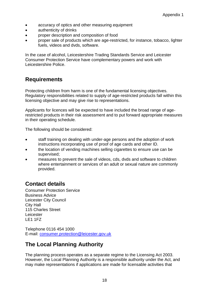- accuracy of optics and other measuring equipment
- authenticity of drinks
- proper description and composition of food
- proper sale of products which are age-restricted, for instance, tobacco, lighter fuels, videos and dvds, software.

In the case of alcohol, Leicestershire Trading Standards Service and Leicester Consumer Protection Service have complementary powers and work with Leicestershire Police.

### **Requirements**

Protecting children from harm is one of the fundamental licensing objectives. Regulatory responsibilities related to supply of age-restricted products fall within this licensing objective and may give rise to representations.

Applicants for licences will be expected to have included the broad range of agerestricted products in their risk assessment and to put forward appropriate measures in their operating schedule.

The following should be considered:

- staff training on dealing with under-age persons and the adoption of work instructions incorporating use of proof of age cards and other ID.
- the location of vending machines selling cigarettes to ensure use can be supervised;
- measures to prevent the sale of videos, cds, dvds and software to children where entertainment or services of an adult or sexual nature are commonly provided.

### **Contact details**

Consumer Protection Service Business Advice Leicester City Council City Hall 115 Charles Street Leicester LE1 1FZ

Telephone 0116 454 1000 E-mail: [consumer.protection@leicester.gov.uk](mailto:consumer.protection@leicester.gov.uk)

### **The Local Planning Authority**

The planning process operates as a separate regime to the Licensing Act 2003. However, the Local Planning Authority is a responsible authority under the Act, and may make representations if applications are made for licensable activities that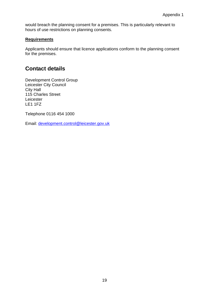would breach the planning consent for a premises. This is particularly relevant to hours of use restrictions on planning consents.

#### **Requirements**

Applicants should ensure that licence applications conform to the planning consent for the premises.

### **Contact details**

Development Control Group Leicester City Council City Hall 115 Charles Street Leicester LE1 1FZ

Telephone 0116 454 1000

Email: [development.control@leicester.gov.uk](mailto:development.control@leicester.gov.uk)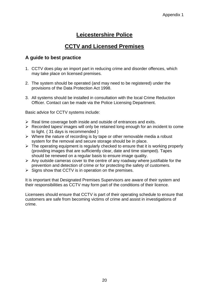### **Leicestershire Police**

### **CCTV and Licensed Premises**

#### **A guide to best practice**

- 1. CCTV does play an import part in reducing crime and disorder offences, which may take place on licensed premises.
- 2. The system should be operated (and may need to be registered) under the provisions of the Data Protection Act 1998.
- 3. All systems should be installed in consultation with the local Crime Reduction Officer. Contact can be made via the Police Licensing Department.

Basic advice for CCTV systems include:

- $\triangleright$  Real time coverage both inside and outside of entrances and exits.
- Recorded tapes/ images will only be retained long enough for an incident to come to light. ( 31 days is recommended )
- $\triangleright$  Where the nature of recording is by tape or other removable media a robust system for the removal and secure storage should be in place.
- $\triangleright$  The operating equipment is regularly checked to ensure that it is working properly (providing images that are sufficiently clear, date and time stamped). Tapes should be renewed on a regular basis to ensure image quality.
- $\triangleright$  Any outside cameras cover to the centre of any roadway where justifiable for the prevention and detection of crime or for protecting the safety of customers.
- $\triangleright$  Signs show that CCTV is in operation on the premises.

It is important that Designated Premises Supervisors are aware of their system and their responsibilities as CCTV may form part of the conditions of their licence.

Licensees should ensure that CCTV is part of their operating schedule to ensure that customers are safe from becoming victims of crime and assist in investigations of crime.